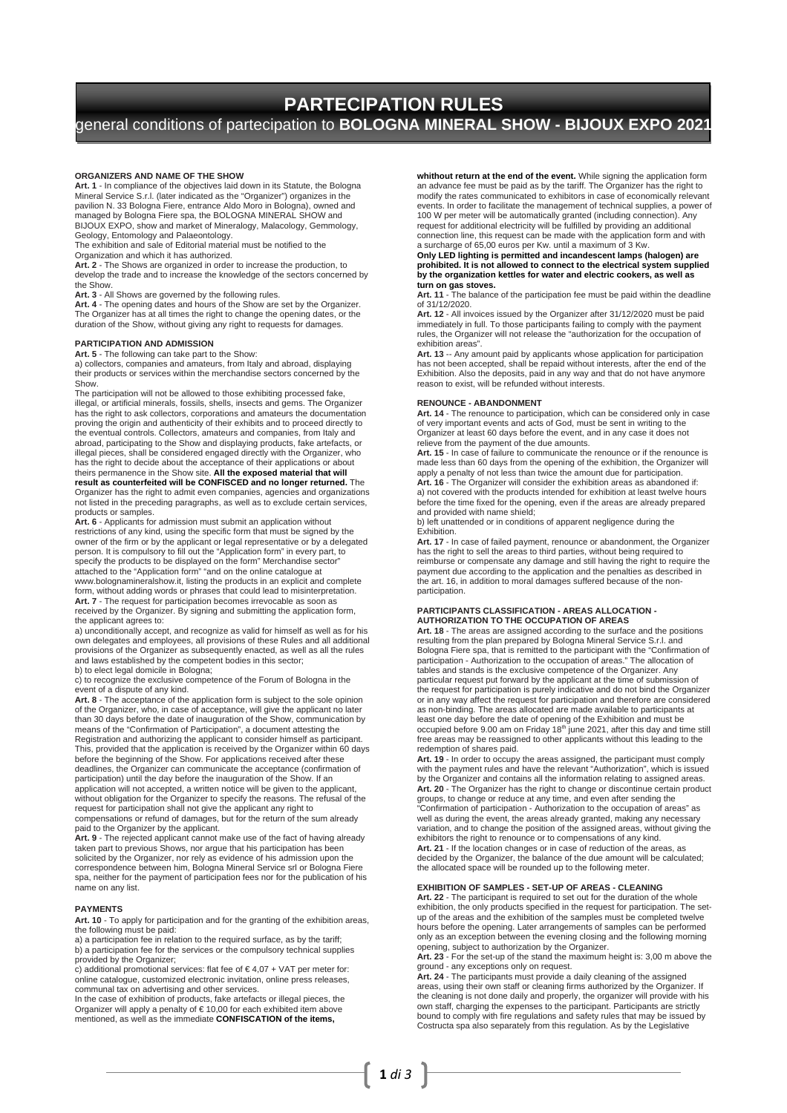# **PARTECIPATION RULES**  general conditions of partecipation to **BOLOGNA MINERAL SHOW - BIJOUX EXPO 2021**

#### **ORGANIZERS AND NAME OF THE SHOW**

**Art. 1** - In compliance of the objectives laid down in its Statute, the Bologna Mineral Service S.r.l. (later indicated as the "Organizer") organizes in the pavilion N. 33 Bologna Fiere, entrance Aldo Moro in Bologna), owned and managed by Bologna Fiere spa, the BOLOGNA MINERAL SHOW and BIJOUX EXPO, show and market of Mineralogy, Malacology, Gemmology, BIJOUX EXPO, show and market of Mineralogy, Malacology, Gen<br>Geology, Entomology and Palaeontology.<br>The exhibition and sale of Editorial material must be notified to the

Organization and which it has authorized.

**Art. 2** - The Shows are organized in order to increase the production, to develop the trade and to increase the knowledge of the sectors concerned by the Show.

**Art. 3** - All Shows are governed by the following rules. **Art. 4** - The opening dates and hours of the Show are set by the Organizer. The Organizer has at all times the right to change the opening dates, or the duration of the Show, without giving any right to requests for damages.

## **PARTICIPATION AND ADMISSION**

**Art. 5** - The following can take part to the Show: a) collectors, companies and amateurs, from Italy and abroad, displaying their products or services within the merchandise sectors concerned by the Show.

The participation will not be allowed to those exhibiting processed fake, illegal, or artificial minerals, fossils, shells, insects and gems. The Organizer<br>has the right to ask collectors, corporations and amateurs the documentation<br>proving the origin and authenticity of their exhibits and to pr the eventual controls. Collectors, amateurs and companies, from Italy and<br>abroad, participating to the Show and displaying products, fake artefacts, or<br>illegal pieces, shall be considered engaged directly with the Organize

has the right to decide about the acceptance of their applications or about<br>theirs permanence in the Show site. **All the exposed material that will**<br>**result as counterfeited will be CONFISCED and no longer returned.** The Organizer has the right to admit even companies, agencies and organizations not listed in the preceding paragraphs, as well as to exclude certain services, products or samples.

Art. 6 - Applicants for admission must submit an application without<br>restrictions of any kind, using the specific form that must be signed by the<br>owner of the firm or by the applicant or legal representative or by a delega person. It is compulsory to fill out the "Application form" in every part, to specify the products to be displayed on the form" Merchandise sector" attached to the "Application form" "and on the online catalogue at www.bolognamineralshow.it, listing the products in an explicit and complete form, without adding words or phrases that could lead to misinterpretation. **Art. 7** - The request for participation becomes irrevocable as soon as

received by the Organizer. By signing and submitting the application form, the applicant agrees to:

a) unconditionally accept, and recognize as valid for himself as well as for his own delegates and employees, all provisions of these Rules and all additional provisions of the Organizer as subsequently enacted, as well as all the rules and laws established by the competent bodies in this sector;

b) to elect legal domicile in Bologna; c) to recognize the exclusive competence of the Forum of Bologna in the event of a dispute of any kind.

Art. 8 - The acceptance of the application form is subject to the sole opinion<br>of the Organizer, who, in case of acceptance, will give the applicant no later<br>than 30 days before the date of inauguration of the Show, commun means of the "Confirmation of Participation", a document attesting the Registration and authorizing the applicant to consider himself as participant. This, provided that the application is received by the Organizer within 60 days before the beginning of the Show. For applications received after these deadlines, the Organizer can communicate the acceptance (confirmation of participation) until the day before the inauguration of the Show. If an application will not accepted, a written notice will be given to the applicant,<br>without obligation for the Organizer to specify the reasons. The refusal of the<br>request for participation shall not give the applicant any rig compensations or refund of damages, but for the return of the sum already paid to the Organizer by the applicant.

**Art. 9** - The rejected applicant cannot make use of the fact of having already taken part to previous Shows, nor argue that his participation has been solicited by the Organizer, nor rely as evidence of his admission upon the correspondence between him, Bologna Mineral Service srl or Bologna Fiere spa, neither for the payment of participation fees nor for the publication of his name on any list.

#### **PAYMENTS**

**Art. 10** - To apply for participation and for the granting of the exhibition areas, the following must be paid: a) a participation fee in relation to the required surface, as by the tariff;

 $\frac{1}{2}$  b) a participation fee for the services or the compulsory technical supplies provided by the Organizer; c) additional promotional services: flat fee of € 4,07 + VAT per meter for:

online catalogue, customized electronic invitation, online press releases,

communal tax on advertising and other services. In the case of exhibition of products, fake artefacts or illegal pieces, the Organizer will apply a penalty of € 10,00 for each exhibited item above mentioned, as well as the immediate **CONFISCATION of the items,**

**whithout return at the end of the event.** While signing the application form an advance fee must be paid as by the tariff. The Organizer has the right to modify the rates communicated to exhibitors in case of economically relevant events. In order to facilitate the management of technical supplies, a power of<br>100 W per meter will be automatically granted (including connection). Any<br>request for additional electricity will be fulfilled by providing an connection line, this request can be made with the application form and with a surcharge of 65,00 euros per Kw. until a maximum of 3 Kw.

## **Only LED lighting is permitted and incandescent lamps (halogen) are prohibited. It is not allowed to connect to the electrical system supplied by the organization kettles for water and electric cookers, as well as turn on gas stoves.**

**Art. 11** - The balance of the participation fee must be paid within the deadline of 31/12/2020.

Art. 12 - All invoices issued by the Organizer after 31/12/2020 must be paid<br>immediately in full. To those participants failing to comply with the payment<br>rules, the Organizer will not release the "authorization for the oc

exhibition areas". **Art. 13** -- Any amount paid by applicants whose application for participation has not been accepted, shall be repaid without interests, after the end of the Exhibition. Also the deposits, paid in any way and that do not have anymore reason to exist, will be refunded without interests.

#### **RENOUNCE - ABANDONMENT**

**Art. 14** - The renounce to participation, which can be considered only in case of very important events and acts of God, must be sent in writing to the Organizer at least 60 days before the event, and in any case it does not relieve from the payment of the due amounts.

**Art. 15** - In case of failure to communicate the renounce or if the renounce is made less than 60 days from the opening of the exhibition, the Organizer will apply a penalty of not less than twice the amount due for participation. **Art. 16** - The Organizer will consider the exhibition areas as abandoned if: a) not covered with the products intended for exhibition at least twelve hours before the time fixed for the opening, even if the areas are already prepared and provided with name shield;

b) left unattended or in conditions of apparent negligence during the **Exhibition** 

**Art. 17** - In case of failed payment, renounce or abandonment, the Organizer has the right to sell the areas to third parties, without being required to<br>reimburse or compensate any damage and still having the right to require the<br>payment due according to the application and the penalties as describ the art. 16, in addition to moral damages suffered because of the nonparticipation.

# **PARTICIPANTS CLASSIFICATION - AREAS ALLOCATION - AUTHORIZATION TO THE OCCUPATION OF AREAS**

**Art. 18** - The areas are assigned according to the surface and the positions resulting from the plan prepared by Bologna Mineral Service S.r.l. and Bologna Fiere spa, that is remitted to the participant with the "Confirmation of participation - Authorization to the occupation of areas." The allocation of tables and stands is the exclusive competence of the Organizer. Any particular request put forward by the applicant at the time of submission of the request for participation is purely indicative and do not bind the Organizer or in any way affect the request for participation and therefore are considered as non-binding. The areas allocated are made available to participants at least one day before the date of opening of the Exhibition and must be occupied before 9.00 am on Friday 18<sup>th</sup> june 2021, after this day and time still<br>free areas may be reassigned to other applicants without this leading to the redemption of shares paid.

**Art. 19** - In order to occupy the areas assigned, the participant must comply with the payment rules and have the relevant "Authorization", which is issued by the Organizer and contains all the information relating to assigned areas. Art. 20 - The Organizer has the right to change or discontinue certain product<br>groups, to change or reduce at any time, and even after sending the<br>"Confirmation of participation - Authorization to the occupation of areas" well as during the event, the areas already granted, making any necessary variation, and to change the position of the assigned areas, without giving the exhibitors the right to renounce or to compensations of any kind. **Art. 21** - If the location changes or in case of reduction of the areas, as decided by the Organizer, the balance of the due amount will be calculated; the allocated space will be rounded up to the following meter.

## **EXHIBITION OF SAMPLES - SET-UP OF AREAS - CLEANING**

**Art. 22** - The participant is required to set out for the duration of the whole exhibition, the only products specified in the request for participation. The set-up of the areas and the exhibition of the samples must be completed twelve hours before the opening. Later arrangements of samples can be performed only as an exception between the evening closing and the following morning opening, subject to authorization by the Organizer.

**Art. 23** - For the set-up of the stand the maximum height is: 3,00 m above the

ground - any exceptions only on request. **Art. 24** - The participants must provide a daily cleaning of the assigned areas, using their own staff or cleaning firms authorized by the Organizer. If the cleaning is not done daily and properly, the organizer will provide with his own staff, charging the expenses to the participant. Participants are strictly bound to comply with fire regulations and safety rules that may be issued by Costructa spa also separately from this regulation. As by the Legislative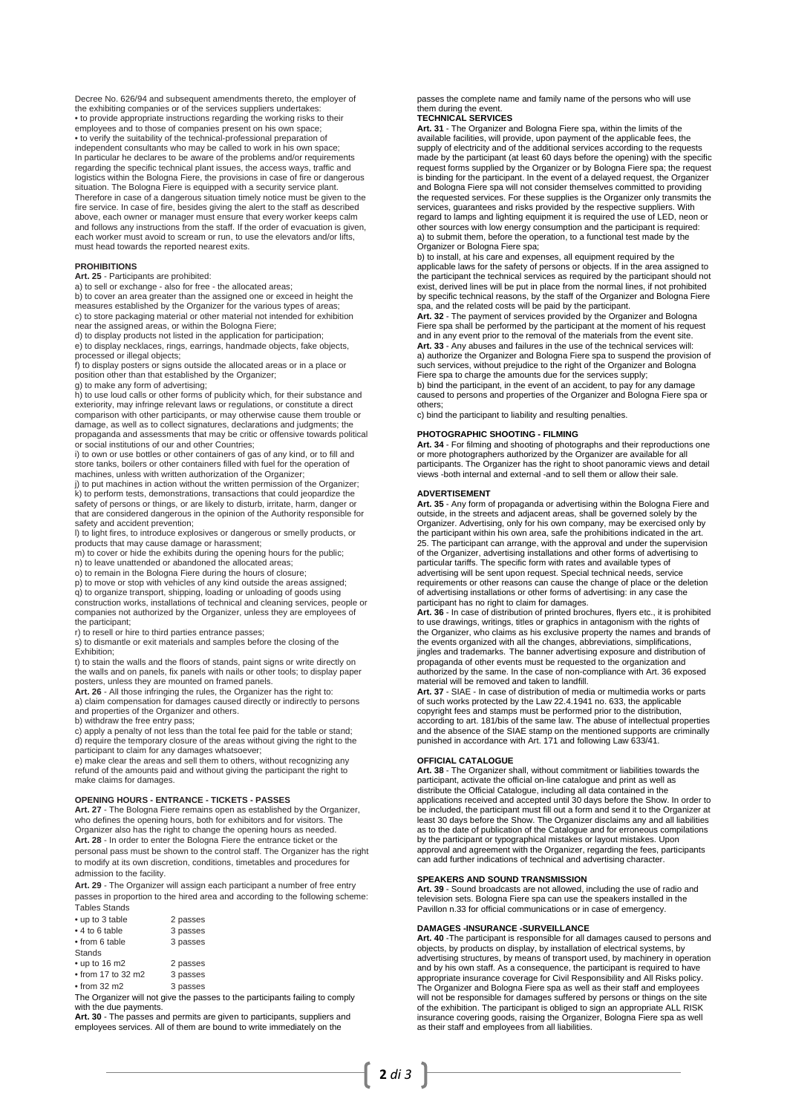Decree No. 626/94 and subsequent amendments thereto, the employer of the exhibiting companies or of the services suppliers undertakes: • to provide appropriate instructions regarding the working risks to their employees and to those of companies present on his own space;<br>• to verify the suitability of the technical-professional preparation of<br>independent consultants who may be called to work in his own space;<br>In particular he de logistics within the Bologna Fiere, the provisions in case of fire or dangerous situation. The Bologna Fiere is equipped with a security service plant. Therefore in case of a dangerous situation timely notice must be given to the fire service. In case of fire, besides giving the alert to the staff as described above, each owner or manager must ensure that every worker keeps calm and follows any instructions from the staff. If the order of evacuation is given, each worker must avoid to scream or run, to use the elevators and/or lifts, must head towards the reported nearest exits.

### **PROHIBITIONS**

## **Art. 25** - Participants are prohibited: a) to sell or exchange - also for free - the allocated areas;

b) to cover an area greater than the assigned one or exceed in height the measures established by the Organizer for the various types of areas; c) to store packaging material or other material not intended for exhibition near the assigned areas, or within the Bologna Fiere;

d) to display products not listed in the application for participation; e) to display necklaces, rings, earrings, handmade objects, fake objects, processed or illegal objects;

f) to display posters or signs outside the allocated areas or in a place or position other than that established by the Organizer;

g) to make any form of advertising;

h) to use loud calls or other forms of publicity which, for their substance and exteriority, may infringe relevant laws or regulations, or constitute a direct comparison with other participants, or may otherwise cause them trouble or damage, as well as to collect signatures, declarations and judgments; the propaganda and assessments that may be critic or offensive towards political or social institutions of our and other Countries;

i) to own or use bottles or other containers of gas of any kind, or to fill and store tanks, boilers or other containers filled with fuel for the operation of machines, unless with written authorization of the Organizer;

j) to put machines in action without the written permission of the Organizer; k) to perform tests, demonstrations, transactions that could jeopardize the safety of persons or things, or are likely to disturb, irritate, harm, danger or that are considered dangerous in the opinion of the Authority responsible for safety and accident prevention;

l) to light fires, to introduce explosives or dangerous or smelly products, or

products that may cause damage or harassment; m) to cover or hide the exhibits during the opening hours for the public;

n) to leave unattended or abandoned the allocated areas; o) to remain in the Bologna Fiere during the hours of closure; p) to move or stop with vehicles of any kind outside the areas assigned;

q) to organize transport, shipping, loading or unloading of goods using construction works, installations of technical and cleaning services, people or companies not authorized by the Organizer, unless they are employees of the participant;

r) to resell or hire to third parties entrance passes;

s) to dismantle or exit materials and samples before the closing of the Exhibition;

t) to stain the walls and the floors of stands, paint signs or write directly on the walls and on panels, fix panels with nails or other tools; to display paper posters, unless they are mounted on framed panels.

**Art. 26** - All those infringing the rules, the Organizer has the right to: a) claim compensation for damages caused directly or indirectly to persons and properties of the Organizer and others.

b) withdraw the free entry pass; c) apply a penalty of not less than the total fee paid for the table or stand; d) require the temporary closure of the areas without giving the right to the participant to claim for any damages whatsoever; e) make clear the areas and sell them to others, without recognizing any

refund of the amounts paid and without giving the participant the right to make claims for damages.

### **OPENING HOURS - ENTRANCE - TICKETS - PASSES**

**Art. 27** - The Bologna Fiere remains open as established by the Organizer, who defines the opening hours, both for exhibitors and for visitors. The Organizer also has the right to change the opening hours as needed. **Art. 28** - In order to enter the Bologna Fiere the entrance ticket or the personal pass must be shown to the control staff. The Organizer has the right to modify at its own discretion, conditions, timetables and procedures for admission to the facility.

**Art. 29** - The Organizer will assign each participant a number of free entry passes in proportion to the hired area and according to the following scheme: Tables Stands

| • up to 3 table | 2 passes |
|-----------------|----------|
| • 4 to 6 table  | 3 passes |
| • from 6 table  | 3 passes |
| <b>Stands</b>   |          |

| $\cdot$ up to 16 m2        | 2 passes |
|----------------------------|----------|
| $\bullet$ from 17 to 32 m2 | 3 passes |
| $\bullet$ from 32 m2       | 3 passes |

The Organizer will not give the passes to the participants failing to comply

with the due payments.<br>**Art. 30** - The passes and permits are given to participants, suppliers and employees services. All of them are bound to write immediately on the

passes the complete name and family name of the persons who will use them during the event.

## **TECHNICAL SERVICES**

**Art. 31** - The Organizer and Bologna Fiere spa, within the limits of the available facilities, will provide, upon payment of the applicable fees, the supply of electricity and of the additional services according to the requests made by the participant (at least 60 days before the opening) with the specific request forms supplied by the Organizer or by Bologna Fiere spa; the request is binding for the participant. In the event of a delayed request, the Organizer and Bologna Fiere spa will not consider themselves committed to providing the requested services. For these supplies is the Organizer only transmits the services, guarantees and risks provided by the respective suppliers. With regard to lamps and lighting equipment it is required the use of LED, neon or other sources with low energy consumption and the participant is required: a) to submit them, before the operation, to a functional test made by the

Organizer or Bologna Fiere spa; b) to install, at his care and expenses, all equipment required by the applicable laws for the safety of persons or objects. If in the area assigned to the participant the technical services as required by the participant should not exist, derived lines will be put in place from the normal lines, if not prohibited by specific technical reasons, by the staff of the Organizer and Bologna Fiere

spa, and the related costs will be paid by the participant. **Art. 32** - The payment of services provided by the Organizer and Bologna Fiere spa shall be performed by the participant at the moment of his request and in any event prior to the removal of the materials from the event site. **Art. 33** - Any abuses and failures in the use of the technical services will: a) authorize the Organizer and Bologna Fiere spa to suspend the provision of such services, without prejudice to the right of the Organizer and Bologna Fiere spa to charge the amounts due for the services supply; b) bind the participant, in the event of an accident, to pay for any damage

caused to persons and properties of the Organizer and Bologna Fiere spa or others;

c) bind the participant to liability and resulting penalties.

#### **PHOTOGRAPHIC SHOOTING - FILMING**

**Art. 34** - For filming and shooting of photographs and their reproductions one or more photographers authorized by the Organizer are available for all participants. The Organizer has the right to shoot panoramic views and detail views -both internal and external -and to sell them or allow their sale.

#### **ADVERTISEMENT**

**Art. 35** - Any form of propaganda or advertising within the Bologna Fiere and<br>outside, in the streets and adjacent areas, shall be governed solely by the<br>Organizer. Advertising, only for his own company, may be exercised the participant within his own area, safe the prohibitions indicated in the art.<br>25. The participant can arrange, with the approval and under the supervision<br>of the Organizer, advertising installations and other forms of a particular tariffs. The specific form with rates and available types of advertising will be sent upon request. Special technical needs, service requirements or other reasons can cause the change of place or the deletion of advertising installations or other forms of advertising: in any case the

participant has no right to claim for damages. **Art. 36** - In case of distribution of printed brochures, flyers etc., it is prohibited to use drawings, writings, titles or graphics in antagonism with the rights of the Organizer, who claims as his exclusive property the names and brands of the events organized with all the changes, abbreviations, simplifications, jingles and trademarks. The banner advertising exposure and distribution of propaganda of other events must be requested to the organization and authorized by the same. In the case of non-compliance with Art. 36 exposed material will be removed and taken to landfill.

**Art. 37** - SIAE - In case of distribution of media or multimedia works or parts of such works protected by the Law 22.4.1941 no. 633, the applicable copyright fees and stamps must be performed prior to the distribution, according to art. 181/bis of the same law. The abuse of intellectual properties and the absence of the SIAE stamp on the mentioned supports are criminally punished in accordance with Art. 171 and following Law 633/41.

## **OFFICIAL CATALOGUE**

**Art. 38** - The Organizer shall, without commitment or liabilities towards the participant, activate the official on-line catalogue and print as well as distribute the Official Catalogue, including all data contained in the applications received and accepted until 30 days before the Show. In order to be included, the participant must fill out a form and send it to the Organizer at least 30 days before the Show. The Organizer disclaims any and all liabilities as to the date of publication of the Catalogue and for erroneous compilations by the participant or typographical mistakes or layout mistakes. Upon approval and agreement with the Organizer, regarding the fees, participants can add further indications of technical and advertising character.

## **SPEAKERS AND SOUND TRANSMISSION**

**Art. 39** - Sound broadcasts are not allowed, including the use of radio and television sets. Bologna Fiere spa can use the speakers installed in the Pavillon n.33 for official communications or in case of emergency.

### **DAMAGES -INSURANCE -SURVEILLANCE**

**Art. 40** -The participant is responsible for all damages caused to persons and objects, by products on display, by installation of electrical systems, by advertising structures, by means of transport used, by machinery in operation and by his own staff. As a consequence, the participant is required to have appropriate insurance coverage for Civil Responsibility and All Risks policy.<br>The Organizer and Bologna Fiere spa as well as their staff and employees<br>will not be responsible for damages suffered by persons or things on th of the exhibition. The participant is obliged to sign an appropriate ALL RISK insurance covering goods, raising the Organizer, Bologna Fiere spa as well as their staff and employees from all liabilities.